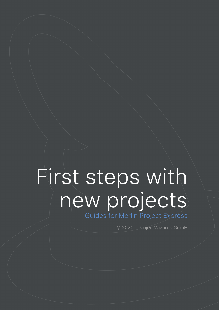# First steps with new projects

Guides for Merlin Project Express

© 2020 - ProjectWizards GmbH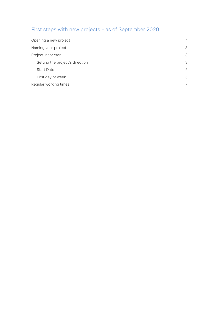# First steps with new projects - as of September 2020

| Opening a new project           | 1 |
|---------------------------------|---|
| Naming your project             | 3 |
| Project Inspector               | 3 |
| Setting the project's direction | 3 |
| <b>Start Date</b>               | 5 |
| First day of week               | 5 |
| Regular working times           | 7 |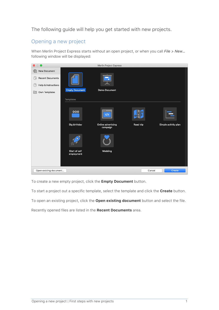#### The following guide will help you get started with new projects.

#### <span id="page-2-0"></span>Opening a new project

When Merlin Project Express starts without an open project, or when you call *File > New…* following window will be displayed:



To create a new empty project, click the **Empty Document** button.

To start a project out a specific template, select the template and click the **Create** button.

To open an existing project, click the **Open existing document** button and select the file.

Recently opened files are listed in the **Recent Documents** area.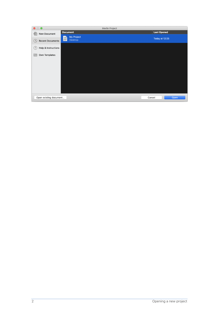| $\bullet$<br>$\circ$ $\bullet$             | Merlin Project    |                    |
|--------------------------------------------|-------------------|--------------------|
| $\mathbf{P}$<br>New Document               | <b>Document</b>   | <b>Last Opened</b> |
|                                            | <b>My Project</b> | Today at 12:25     |
| $(\mathcal{L})$<br><b>Recent Documents</b> | <b>Desktop</b>    |                    |
| (2)<br>Help & Instructions                 |                   |                    |
| Own Templates                              |                   |                    |
|                                            |                   |                    |
|                                            |                   |                    |
|                                            |                   |                    |
|                                            |                   |                    |
|                                            |                   |                    |
|                                            |                   |                    |
|                                            |                   |                    |
|                                            |                   |                    |
| Open existing document                     |                   | Cancel<br>Open     |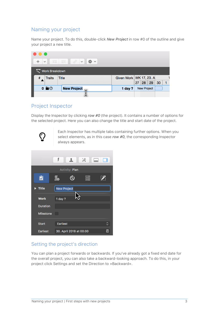### <span id="page-4-0"></span>Naming your project

Name your project. To do this, double-click *New Project* in row #0 of the outline and give your project a new title.

|      | $\checkmark$            | □ 三 三 ∥ ∥ ▽   券 ▽  |                           |    |                    |    |    |  |
|------|-------------------------|--------------------|---------------------------|----|--------------------|----|----|--|
|      | <b>T</b> Work Breakdown |                    |                           |    |                    |    |    |  |
| $\#$ | <b>Traits</b>           | <b>Title</b>       | Given Work   WK 17, 23. A |    |                    |    |    |  |
|      |                         |                    |                           | 27 | 28                 | 29 | 30 |  |
|      | $0 \equiv \odot$        | <b>New Project</b> | 1 day ?                   |    | <b>New Project</b> |    |    |  |
|      |                         |                    |                           |    |                    |    |    |  |

#### <span id="page-4-1"></span>Project Inspector

Display the Inspector by clicking *row #0* (the project). It contains a number of options for the selected project. Here you can also change the title and start date of the project.



Each Inspector has multiple tabs containing further options. When you select elements, as in this case *row #0*, the corresponding Inspector always appears.

|                             | ţ                  | л.                      | $\mathbf{x}$ |   |
|-----------------------------|--------------------|-------------------------|--------------|---|
|                             |                    | Activity: Plan          |              |   |
| $\dot{z}$                   | $\bar{\Xi}_0$      | $\mathcal{C}_\phi$      | $\equiv$     |   |
| $\blacktriangleright$ Title | <b>New Project</b> |                         |              |   |
| <b>Work</b>                 | $1$ day $?$        |                         |              |   |
| <b>Duration</b>             |                    |                         |              |   |
| <b>Milestone</b>            |                    |                         |              |   |
| <b>Start</b>                | <b>Earliest</b>    |                         |              | ≎ |
| <b>Earliest</b>             |                    | 30. April 2018 at 00:00 |              | 茴 |

#### <span id="page-4-2"></span>Setting the project's direction

You can plan a project forwards or backwards. If you've already got a fixed end date for the overall project, you can also take a backward-looking approach. To do this, in your project click Settings and set the Direction to »Backward«.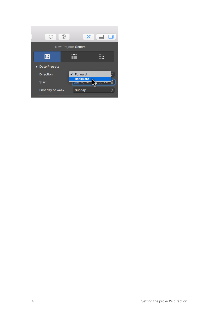| O                   |                                  | $\mathsf{X}$   |
|---------------------|----------------------------------|----------------|
|                     | New Project: General             |                |
| <b>ili</b>          |                                  |                |
| <b>Date Presets</b> |                                  |                |
| <b>Direction</b>    | Forward<br>√                     |                |
| <b>Start</b>        | <b>Backward</b><br>JUIL 14, ZUTC | 画<br>$2.00$ AM |
| First day of week   | <b>Sunday</b>                    |                |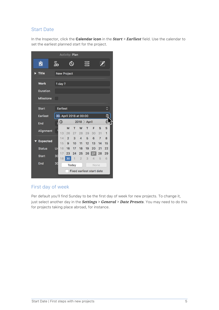#### <span id="page-6-0"></span>Start Date

In the Inspector, click the **Calendar icon** in the *Start > Earliest* field. Use the calendar to set the earliest planned start for the project.

| <b>Activity: Plan</b> |                                  |                            |                         |                 |                      |                  |         |                 |         |        |  |
|-----------------------|----------------------------------|----------------------------|-------------------------|-----------------|----------------------|------------------|---------|-----------------|---------|--------|--|
|                       | $\dot{\bar{\bm{\triangledown}}}$ | $\bar{\bar{\mathbb{E}}}$ 9 |                         |                 | %                    |                  | 먦       |                 |         |        |  |
|                       | <b>Title</b>                     |                            | <b>New Project</b>      |                 |                      |                  |         |                 |         |        |  |
|                       | <b>Work</b>                      |                            | 1 day ?                 |                 |                      |                  |         |                 |         |        |  |
|                       | <b>Duration</b>                  |                            |                         |                 |                      |                  |         |                 |         |        |  |
|                       | <b>Milestone</b>                 | $\Box$                     |                         |                 |                      |                  |         |                 |         |        |  |
|                       | <b>Start</b>                     |                            | <b>Earliest</b>         |                 |                      |                  |         |                 |         | ≎      |  |
|                       | <b>Earliest</b>                  |                            | 30. April 2018 at 00:00 |                 |                      |                  |         |                 |         | 面      |  |
|                       | End                              |                            | $\bigodot$              |                 |                      | $2018$ $>$ April |         |                 |         |        |  |
|                       | Alignment                        |                            | 13                      | M<br>26         | т<br>27 <sup>2</sup> | W<br>28          | т<br>29 | F<br>30         | S<br>31 | S<br>1 |  |
|                       |                                  |                            | 14                      | $2^{\circ}$     | 3 <sup>1</sup>       | $\overline{4}$   | 5       | 6               | 7       | 8      |  |
|                       | <b>Expected</b>                  |                            | 15                      | 9               | 10 <sup>1</sup>      | 11               | 12      | 13 <sup>7</sup> | 14      | 15     |  |
|                       | <b>Status</b>                    | Url                        | 16                      | 16 <sup>1</sup> | 17 <sup>7</sup>      | 18 <sup>1</sup>  | 19      | 20              | 21      | 22     |  |
|                       | <b>Start</b>                     | 30                         | 17                      | 23              | 24                   | 25 <sub>2</sub>  | 26      | 27              | 28      | 29     |  |
|                       |                                  |                            | 18                      | 30              | 1                    | $\overline{2}$   | 3       | 4               | 5       | 6      |  |
|                       | End                              | 30                         |                         |                 | <b>Today</b>         |                  |         | None            |         |        |  |
|                       | <b>Fixed earliest start date</b> |                            |                         |                 |                      |                  |         |                 |         |        |  |
|                       |                                  |                            |                         |                 |                      |                  |         |                 |         |        |  |

#### <span id="page-6-1"></span>First day of week

Per default you'll find Sunday to be the first day of week for new projects. To change it, just select another day in the *Settings > General > Date Presets*. You may need to do this for projects taking place abroad, for instance.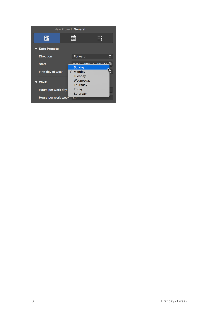|                     | New Project: General                         |   |
|---------------------|----------------------------------------------|---|
| 1!                  |                                              |   |
| <b>Date Presets</b> |                                              |   |
| <b>Direction</b>    | Forward                                      | ^ |
| <b>Start</b>        | $M_{22}$ 12 $2010$ 12.00 AM<br><b>Sunday</b> | ख |
| First day of week   | $\sqrt{\phantom{a}}$ Monday<br>Tuesday       |   |
| <b>Work</b>         | Wednesday<br>Thursday                        |   |
| Hours per work day  | Friday<br><b>Saturday</b>                    |   |
| Hours per work week | 40                                           |   |